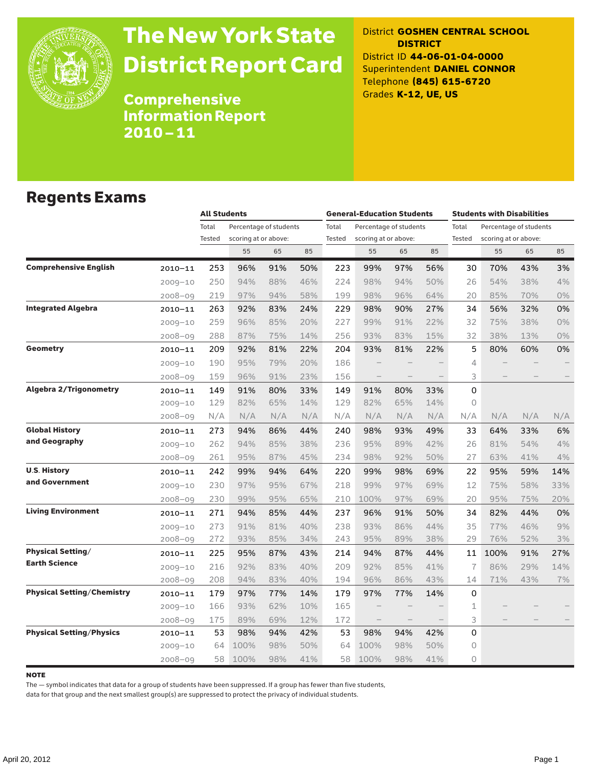

# The New York State District Report Card

District **GOSHEN CENTRAL SCHOOL DISTRICT** District ID **44-06-01-04-0000** Superintendent **DANIEL CONNOR** Telephone **(845) 615-6720** Grades **K-12, UE, US**

Comprehensive Information Report 2010–11

### Regents Exams

|                                   |             |        | <b>All Students</b>        |     |     |        | <b>General-Education Students</b>      |                          |        |       | <b>Students with Disabilities</b>              |     |       |  |
|-----------------------------------|-------------|--------|----------------------------|-----|-----|--------|----------------------------------------|--------------------------|--------|-------|------------------------------------------------|-----|-------|--|
|                                   |             | Total  | Percentage of students     |     |     | Total  | Percentage of students                 |                          |        | Total | Percentage of students<br>scoring at or above: |     |       |  |
|                                   |             | Tested | scoring at or above:<br>55 | 65  | 85  | Tested | scoring at or above:<br>85<br>55<br>65 |                          | Tested | 55    | 65                                             | 85  |       |  |
| <b>Comprehensive English</b>      | $2010 - 11$ | 253    | 96%                        | 91% | 50% | 223    | 99%                                    | 97%                      | 56%    | 30    | 70%                                            | 43% | 3%    |  |
|                                   | $2009 - 10$ | 250    | 94%                        | 88% | 46% | 224    | 98%                                    | 94%                      | 50%    | 26    | 54%                                            | 38% | 4%    |  |
|                                   | $2008 - 09$ | 219    | 97%                        | 94% | 58% | 199    | 98%                                    | 96%                      | 64%    | 20    | 85%                                            | 70% | 0%    |  |
| <b>Integrated Algebra</b>         | $2010 - 11$ | 263    | 92%                        | 83% | 24% | 229    | 98%                                    | 90%                      | 27%    | 34    | 56%                                            | 32% | 0%    |  |
|                                   | $2009 - 10$ | 259    | 96%                        | 85% | 20% | 227    | 99%                                    | 91%                      | 22%    | 32    | 75%                                            | 38% | 0%    |  |
|                                   | $2008 - 09$ | 288    | 87%                        | 75% | 14% | 256    | 93%                                    | 83%                      | 15%    | 32    | 38%                                            | 13% | $0\%$ |  |
| <b>Geometry</b>                   | $2010 - 11$ | 209    | 92%                        | 81% | 22% | 204    | 93%                                    | 81%                      | 22%    | 5     | 80%                                            | 60% | 0%    |  |
|                                   | $2009 - 10$ | 190    | 95%                        | 79% | 20% | 186    |                                        |                          |        | 4     |                                                |     |       |  |
|                                   | $2008 - 09$ | 159    | 96%                        | 91% | 23% | 156    |                                        | $\overline{\phantom{0}}$ |        | 3     |                                                |     |       |  |
| <b>Algebra 2/Trigonometry</b>     | $2010 - 11$ | 149    | 91%                        | 80% | 33% | 149    | 91%                                    | 80%                      | 33%    | 0     |                                                |     |       |  |
|                                   | $2009 - 10$ | 129    | 82%                        | 65% | 14% | 129    | 82%                                    | 65%                      | 14%    | 0     |                                                |     |       |  |
|                                   | $2008 - 09$ | N/A    | N/A                        | N/A | N/A | N/A    | N/A                                    | N/A                      | N/A    | N/A   | N/A                                            | N/A | N/A   |  |
| <b>Global History</b>             | $2010 - 11$ | 273    | 94%                        | 86% | 44% | 240    | 98%                                    | 93%                      | 49%    | 33    | 64%                                            | 33% | 6%    |  |
| and Geography                     | $2009 - 10$ | 262    | 94%                        | 85% | 38% | 236    | 95%                                    | 89%                      | 42%    | 26    | 81%                                            | 54% | 4%    |  |
|                                   | $2008 - 09$ | 261    | 95%                        | 87% | 45% | 234    | 98%                                    | 92%                      | 50%    | 27    | 63%                                            | 41% | 4%    |  |
| <b>U.S. History</b>               | $2010 - 11$ | 242    | 99%                        | 94% | 64% | 220    | 99%                                    | 98%                      | 69%    | 22    | 95%                                            | 59% | 14%   |  |
| and Government                    | $2009 - 10$ | 230    | 97%                        | 95% | 67% | 218    | 99%                                    | 97%                      | 69%    | 12    | 75%                                            | 58% | 33%   |  |
|                                   | $2008 - 09$ | 230    | 99%                        | 95% | 65% | 210    | 100%                                   | 97%                      | 69%    | 20    | 95%                                            | 75% | 20%   |  |
| <b>Living Environment</b>         | $2010 - 11$ | 271    | 94%                        | 85% | 44% | 237    | 96%                                    | 91%                      | 50%    | 34    | 82%                                            | 44% | 0%    |  |
|                                   | $2009 - 10$ | 273    | 91%                        | 81% | 40% | 238    | 93%                                    | 86%                      | 44%    | 35    | 77%                                            | 46% | 9%    |  |
|                                   | $2008 - 09$ | 272    | 93%                        | 85% | 34% | 243    | 95%                                    | 89%                      | 38%    | 29    | 76%                                            | 52% | 3%    |  |
| <b>Physical Setting/</b>          | $2010 - 11$ | 225    | 95%                        | 87% | 43% | 214    | 94%                                    | 87%                      | 44%    | 11    | 100%                                           | 91% | 27%   |  |
| <b>Earth Science</b>              | $2009 - 10$ | 216    | 92%                        | 83% | 40% | 209    | 92%                                    | 85%                      | 41%    | 7     | 86%                                            | 29% | 14%   |  |
|                                   | $2008 - 09$ | 208    | 94%                        | 83% | 40% | 194    | 96%                                    | 86%                      | 43%    | 14    | 71%                                            | 43% | $7\%$ |  |
| <b>Physical Setting/Chemistry</b> | $2010 - 11$ | 179    | 97%                        | 77% | 14% | 179    | 97%                                    | 77%                      | 14%    | 0     |                                                |     |       |  |
|                                   | $2009 - 10$ | 166    | 93%                        | 62% | 10% | 165    |                                        |                          |        | 1     |                                                |     |       |  |
|                                   | $2008 - 09$ | 175    | 89%                        | 69% | 12% | 172    |                                        |                          |        | 3     |                                                |     |       |  |
| <b>Physical Setting/Physics</b>   | $2010 - 11$ | 53     | 98%                        | 94% | 42% | 53     | 98%                                    | 94%                      | 42%    | 0     |                                                |     |       |  |
|                                   | $2009 - 10$ | 64     | 100%                       | 98% | 50% | 64     | 100%                                   | 98%                      | 50%    | 0     |                                                |     |       |  |
|                                   | $2008 - 09$ | 58     | 100%                       | 98% | 41% | 58     | 100%                                   | 98%                      | 41%    | 0     |                                                |     |       |  |

#### note

The — symbol indicates that data for a group of students have been suppressed. If a group has fewer than five students,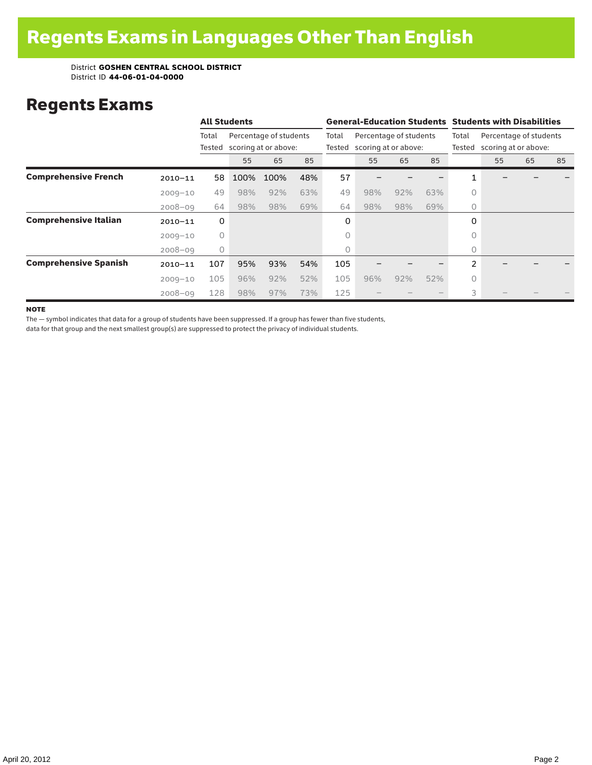### Regents Exams

|                              |             |                 | <b>All Students</b>                            |      |                 |                                                | <b>General-Education Students Students with Disabilities</b> |                 |                                                |          |    |    |    |  |
|------------------------------|-------------|-----------------|------------------------------------------------|------|-----------------|------------------------------------------------|--------------------------------------------------------------|-----------------|------------------------------------------------|----------|----|----|----|--|
|                              |             | Total<br>Tested | Percentage of students<br>scoring at or above: |      | Total<br>Tested | Percentage of students<br>scoring at or above: |                                                              | Total<br>Tested | Percentage of students<br>scoring at or above: |          |    |    |    |  |
|                              |             |                 | 55                                             | 65   | 85              |                                                | 55                                                           | 65              | 85                                             |          | 55 | 65 | 85 |  |
| <b>Comprehensive French</b>  | $2010 - 11$ | 58              | 100%                                           | 100% | 48%             | 57                                             |                                                              |                 |                                                |          |    |    |    |  |
|                              | $2009 - 10$ | 49              | 98%                                            | 92%  | 63%             | 49                                             | 98%                                                          | 92%             | 63%                                            | $\Omega$ |    |    |    |  |
|                              | $2008 - 09$ | 64              | 98%                                            | 98%  | 69%             | 64                                             | 98%                                                          | 98%             | 69%                                            | $\circ$  |    |    |    |  |
| <b>Comprehensive Italian</b> | $2010 - 11$ | 0               |                                                |      |                 | 0                                              |                                                              |                 |                                                | 0        |    |    |    |  |
|                              | $2009 - 10$ | $\circ$         |                                                |      |                 | 0                                              |                                                              |                 |                                                | $\circ$  |    |    |    |  |
|                              | $2008 - 09$ | $\circ$         |                                                |      |                 | 0                                              |                                                              |                 |                                                | $\circ$  |    |    |    |  |
| <b>Comprehensive Spanish</b> | $2010 - 11$ | 107             | 95%                                            | 93%  | 54%             | 105                                            |                                                              |                 |                                                | 2        |    |    |    |  |
|                              | $2009 - 10$ | 105             | 96%                                            | 92%  | 52%             | 105                                            | 96%                                                          | 92%             | 52%                                            | 0        |    |    |    |  |
|                              | $2008 - 09$ | 128             | 98%                                            | 97%  | 73%             | 125                                            |                                                              |                 |                                                | 3        |    |    |    |  |

**NOTE** 

The — symbol indicates that data for a group of students have been suppressed. If a group has fewer than five students,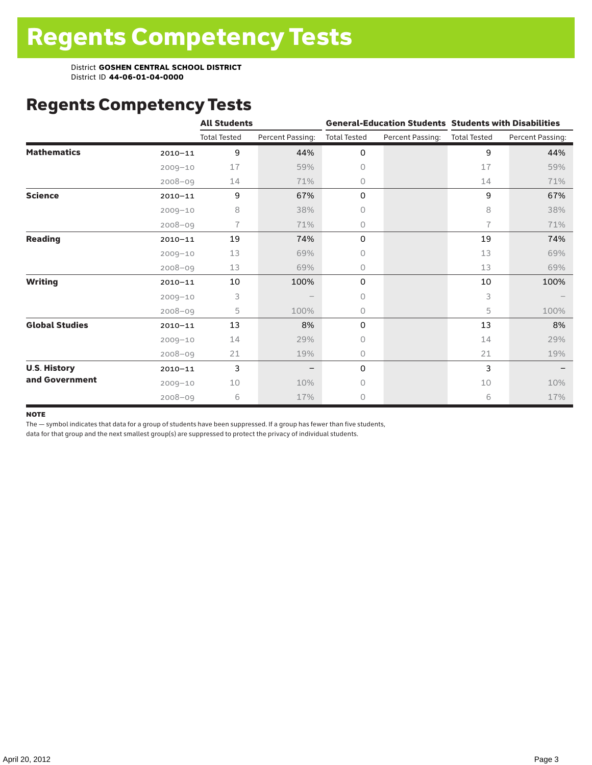### Regents Competency Tests

|                       |             | <b>All Students</b> |                  |                     |                  | <b>General-Education Students Students with Disabilities</b> |                  |  |  |
|-----------------------|-------------|---------------------|------------------|---------------------|------------------|--------------------------------------------------------------|------------------|--|--|
|                       |             | <b>Total Tested</b> | Percent Passing: | <b>Total Tested</b> | Percent Passing: | <b>Total Tested</b>                                          | Percent Passing: |  |  |
| <b>Mathematics</b>    | $2010 - 11$ | 9                   | 44%              | 0                   |                  | 9                                                            | 44%              |  |  |
|                       | $2009 - 10$ | 17                  | 59%              | 0                   |                  | 17                                                           | 59%              |  |  |
|                       | $2008 - 09$ | 14                  | 71%              | 0                   |                  | 14                                                           | 71%              |  |  |
| <b>Science</b>        | $2010 - 11$ | 9                   | 67%              | 0                   |                  | 9                                                            | 67%              |  |  |
|                       | $2009 - 10$ | 8                   | 38%              | 0                   |                  | 8                                                            | 38%              |  |  |
|                       | $2008 - 09$ | 7                   | 71%              | 0                   |                  | $\overline{1}$                                               | 71%              |  |  |
| <b>Reading</b>        | $2010 - 11$ | 19                  | 74%              | 0                   |                  | 19                                                           | 74%              |  |  |
|                       | $2009 - 10$ | 13                  | 69%              | 0                   |                  | 13                                                           | 69%              |  |  |
|                       | $2008 - 09$ | 13                  | 69%              | 0                   |                  | 13                                                           | 69%              |  |  |
| <b>Writing</b>        | $2010 - 11$ | 10                  | 100%             | 0                   |                  | 10                                                           | 100%             |  |  |
|                       | $2009 - 10$ | 3                   |                  | 0                   |                  | 3                                                            |                  |  |  |
|                       | $2008 - 09$ | 5                   | 100%             | 0                   |                  | 5                                                            | 100%             |  |  |
| <b>Global Studies</b> | $2010 - 11$ | 13                  | 8%               | 0                   |                  | 13                                                           | 8%               |  |  |
|                       | $2009 - 10$ | 14                  | 29%              | 0                   |                  | 14                                                           | 29%              |  |  |
|                       | $2008 - 09$ | 21                  | 19%              | 0                   |                  | 21                                                           | 19%              |  |  |
| <b>U.S. History</b>   | $2010 - 11$ | 3                   |                  | 0                   |                  | 3                                                            |                  |  |  |
| and Government        | $2009 - 10$ | 10                  | 10%              | 0                   |                  | 10                                                           | 10%              |  |  |
|                       | $2008 - 09$ | 6                   | 17%              | 0                   |                  | 6                                                            | 17%              |  |  |

#### **NOTE**

The — symbol indicates that data for a group of students have been suppressed. If a group has fewer than five students,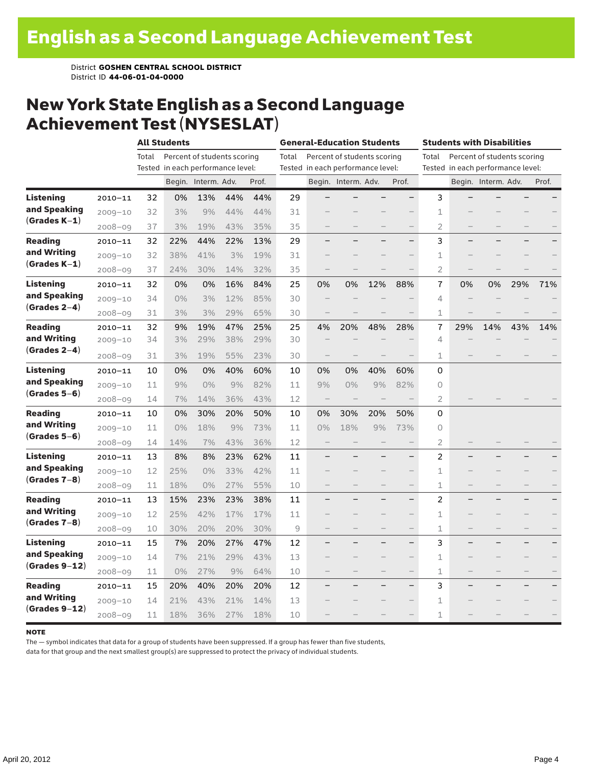### New York State English as a Second Language Achievement Test (NYSESLAT)

|                  |             |       | <b>All Students</b>               |                             |     | <b>General-Education Students</b> |       |                                   |                             | <b>Students with Disabilities</b> |                          |                                   |     |                             |     |       |
|------------------|-------------|-------|-----------------------------------|-----------------------------|-----|-----------------------------------|-------|-----------------------------------|-----------------------------|-----------------------------------|--------------------------|-----------------------------------|-----|-----------------------------|-----|-------|
|                  |             | Total |                                   | Percent of students scoring |     |                                   | Total |                                   | Percent of students scoring |                                   |                          | Total                             |     | Percent of students scoring |     |       |
|                  |             |       | Tested in each performance level: |                             |     |                                   |       | Tested in each performance level: |                             |                                   |                          | Tested in each performance level: |     |                             |     |       |
|                  |             |       |                                   | Begin. Interm. Adv.         |     | Prof.                             |       |                                   | Begin. Interm. Adv.         |                                   | Prof.                    |                                   |     | Begin. Interm. Adv.         |     | Prof. |
| <b>Listening</b> | $2010 - 11$ | 32    | 0%                                | 13%                         | 44% | 44%                               | 29    |                                   |                             |                                   |                          | 3                                 |     |                             |     |       |
| and Speaking     | $2009 - 10$ | 32    | 3%                                | 9%                          | 44% | 44%                               | 31    |                                   |                             |                                   |                          | 1                                 |     |                             |     |       |
| $(Grades K-1)$   | $2008 - 09$ | 37    | 3%                                | 19%                         | 43% | 35%                               | 35    |                                   |                             |                                   |                          | $\overline{2}$                    |     |                             |     |       |
| <b>Reading</b>   | $2010 - 11$ | 32    | 22%                               | 44%                         | 22% | 13%                               | 29    |                                   |                             |                                   | $\overline{\phantom{0}}$ | 3                                 |     |                             |     |       |
| and Writing      | $2009 - 10$ | 32    | 38%                               | 41%                         | 3%  | 19%                               | 31    |                                   |                             |                                   |                          | 1                                 |     |                             |     |       |
| $(Grades K-1)$   | $2008 - 09$ | 37    | 24%                               | 30%                         | 14% | 32%                               | 35    |                                   |                             |                                   |                          | $\overline{2}$                    |     |                             |     |       |
| Listening        | $2010 - 11$ | 32    | 0%                                | 0%                          | 16% | 84%                               | 25    | 0%                                | 0%                          | 12%                               | 88%                      | 7                                 | 0%  | 0%                          | 29% | 71%   |
| and Speaking     | $2009 - 10$ | 34    | 0%                                | 3%                          | 12% | 85%                               | 30    |                                   |                             |                                   |                          | 4                                 |     |                             |     |       |
| $(Grades 2-4)$   | $2008 - 09$ | 31    | 3%                                | 3%                          | 29% | 65%                               | 30    |                                   |                             |                                   |                          | $\mathbf 1$                       |     |                             |     |       |
| <b>Reading</b>   | $2010 - 11$ | 32    | 9%                                | 19%                         | 47% | 25%                               | 25    | 4%                                | 20%                         | 48%                               | 28%                      | 7                                 | 29% | 14%                         | 43% | 14%   |
| and Writing      | $2009 - 10$ | 34    | 3%                                | 29%                         | 38% | 29%                               | 30    |                                   |                             |                                   |                          | 4                                 |     |                             |     |       |
| $(Grades 2-4)$   | $2008 - 09$ | 31    | 3%                                | 19%                         | 55% | 23%                               | 30    |                                   |                             |                                   |                          | 1                                 |     |                             |     |       |
| <b>Listening</b> | $2010 - 11$ | 10    | 0%                                | 0%                          | 40% | 60%                               | 10    | 0%                                | 0%                          | 40%                               | 60%                      | 0                                 |     |                             |     |       |
| and Speaking     | $2009 - 10$ | 11    | 9%                                | 0%                          | 9%  | 82%                               | 11    | 9%                                | 0%                          | 9%                                | 82%                      | 0                                 |     |                             |     |       |
| $(Grades 5-6)$   | $2008 - 09$ | 14    | 7%                                | 14%                         | 36% | 43%                               | 12    | $\qquad \qquad -$                 |                             |                                   |                          | 2                                 |     |                             |     |       |
| <b>Reading</b>   | $2010 - 11$ | 10    | 0%                                | 30%                         | 20% | 50%                               | 10    | 0%                                | 30%                         | 20%                               | 50%                      | 0                                 |     |                             |     |       |
| and Writing      | $2009 - 10$ | 11    | $0\%$                             | 18%                         | 9%  | 73%                               | 11    | 0%                                | 18%                         | 9%                                | 73%                      | $\circ$                           |     |                             |     |       |
| $(Grades 5-6)$   | $2008 - 09$ | 14    | 14%                               | 7%                          | 43% | 36%                               | 12    |                                   |                             |                                   |                          | $\overline{2}$                    |     |                             |     |       |
| Listening        | $2010 - 11$ | 13    | 8%                                | 8%                          | 23% | 62%                               | 11    |                                   |                             |                                   |                          | 2                                 |     |                             |     |       |
| and Speaking     | $2009 - 10$ | 12    | 25%                               | 0%                          | 33% | 42%                               | 11    |                                   |                             |                                   |                          | 1                                 |     |                             |     |       |
| $(Grades 7-8)$   | $2008 - 09$ | 11    | 18%                               | 0%                          | 27% | 55%                               | 10    |                                   |                             |                                   |                          | 1                                 |     |                             |     |       |
| <b>Reading</b>   | $2010 - 11$ | 13    | 15%                               | 23%                         | 23% | 38%                               | 11    |                                   |                             |                                   |                          | 2                                 |     |                             |     |       |
| and Writing      | $2009 - 10$ | 12    | 25%                               | 42%                         | 17% | 17%                               | 11    |                                   |                             |                                   |                          | 1                                 |     |                             |     |       |
| $(Grades 7-8)$   | $2008 - 09$ | 10    | 30%                               | 20%                         | 20% | 30%                               | 9     |                                   |                             |                                   | $\overline{\phantom{0}}$ | $\mathbf 1$                       |     |                             |     |       |
| Listening        | $2010 - 11$ | 15    | 7%                                | 20%                         | 27% | 47%                               | 12    |                                   |                             |                                   | -                        | 3                                 |     |                             |     |       |
| and Speaking     | $2009 - 10$ | 14    | 7%                                | 21%                         | 29% | 43%                               | 13    |                                   |                             |                                   | $\overline{\phantom{0}}$ | $\mathbf 1$                       |     |                             |     |       |
| $(Grades 9-12)$  | $2008 - 09$ | 11    | $0\%$                             | 27%                         | 9%  | 64%                               | 10    |                                   |                             |                                   | $\overline{\phantom{0}}$ | 1                                 |     |                             |     |       |
| <b>Reading</b>   | $2010 - 11$ | 15    | 20%                               | 40%                         | 20% | 20%                               | 12    |                                   |                             |                                   |                          | 3                                 |     |                             |     |       |
| and Writing      | $2009 - 10$ | 14    | 21%                               | 43%                         | 21% | 14%                               | 13    |                                   |                             |                                   | $\qquad \qquad -$        | $\mathbf 1$                       |     |                             |     |       |
| $(Grades 9-12)$  | $2008 - 09$ | 11    | 18%                               | 36%                         | 27% | 18%                               | 10    |                                   |                             |                                   |                          | 1                                 |     |                             |     |       |

#### note

The — symbol indicates that data for a group of students have been suppressed. If a group has fewer than five students,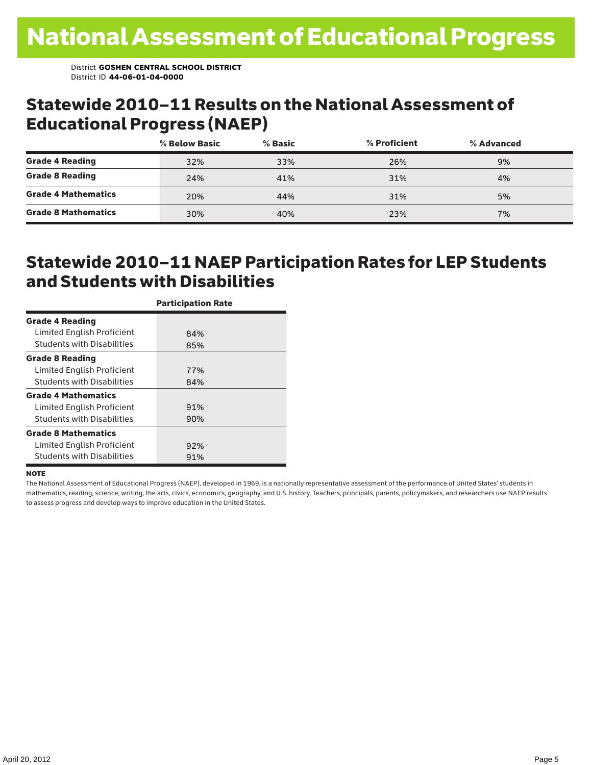### Statewide 2010–11 Results on the National Assessment of Educational Progress (NAEP)

|                            | % Below Basic | $%$ Basic | % Proficient | % Advanced |  |
|----------------------------|---------------|-----------|--------------|------------|--|
| <b>Grade 4 Reading</b>     | 32%           | 33%       | 26%          | 9%         |  |
| <b>Grade 8 Reading</b>     | 24%           | 41%       | 31%          | 4%         |  |
| <b>Grade 4 Mathematics</b> | 20%           | 44%       | 31%          | 5%         |  |
| <b>Grade 8 Mathematics</b> | 30%           | 40%       | 23%          | 7%         |  |

### Statewide 2010–11 NAEP Participation Rates for LEP Students and Students with Disabilities

|                                   | <b>Participation Rate</b> |
|-----------------------------------|---------------------------|
| <b>Grade 4 Reading</b>            |                           |
| Limited English Proficient        | 84%                       |
| <b>Students with Disabilities</b> | 85%                       |
| <b>Grade 8 Reading</b>            |                           |
| Limited English Proficient        | 77%                       |
| <b>Students with Disabilities</b> | 84%                       |
| <b>Grade 4 Mathematics</b>        |                           |
| Limited English Proficient        | 91%                       |
| <b>Students with Disabilities</b> | 90%                       |
| <b>Grade 8 Mathematics</b>        |                           |
| Limited English Proficient        | 92%                       |
| <b>Students with Disabilities</b> | 91%                       |

#### **NOTE**

The National Assessment of Educational Progress (NAEP), developed in 1969, is a nationally representative assessment of the performance of United States' students in mathematics, reading, science, writing, the arts, civics, economics, geography, and U.S. history. Teachers, principals, parents, policymakers, and researchers use NAEP results to assess progress and develop ways to improve education in the United States.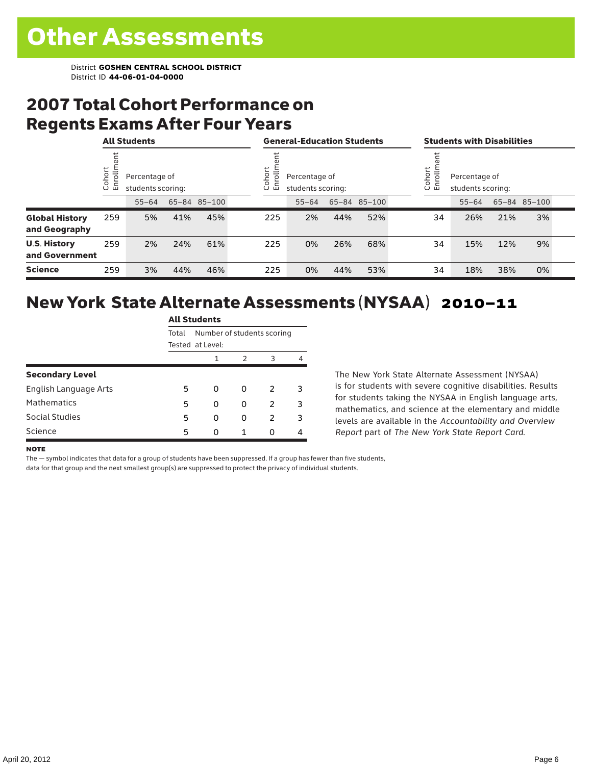### 2007 Total Cohort Performance on Regents Exams After Four Years

|                                        |                    | <b>All Students</b> |                                    |              |  | <b>General-Education Students</b>                                   |           |     |              |  | <b>Students with Disabilities</b>                           |           |     |              |  |
|----------------------------------------|--------------------|---------------------|------------------------------------|--------------|--|---------------------------------------------------------------------|-----------|-----|--------------|--|-------------------------------------------------------------|-----------|-----|--------------|--|
|                                        | ohort<br>S<br>ប ក្ |                     | Percentage of<br>students scoring: |              |  | ohort<br>rolln<br>Percentage of<br>문<br>students scoring:<br>$\cup$ |           |     |              |  | ohort<br>Enrolln<br>Percentage of<br>students scoring:<br>O |           |     |              |  |
|                                        |                    | $55 - 64$           |                                    | 65-84 85-100 |  |                                                                     | $55 - 64$ |     | 65-84 85-100 |  |                                                             | $55 - 64$ |     | 65-84 85-100 |  |
| <b>Global History</b><br>and Geography | 259                | 5%                  | 41%                                | 45%          |  | 225                                                                 | 2%        | 44% | 52%          |  | 34                                                          | 26%       | 21% | 3%           |  |
| <b>U.S. History</b><br>and Government  | 259                | 2%                  | 24%                                | 61%          |  | 225                                                                 | 0%        | 26% | 68%          |  | 34                                                          | 15%       | 12% | 9%           |  |
| <b>Science</b>                         | 259                | 3%                  | 44%                                | 46%          |  | 225                                                                 | 0%        | 44% | 53%          |  | 34                                                          | 18%       | 38% | 0%           |  |

#### New York State Alternate Assessments (NYSAA) 2010–11 All Students

|                        | Au Students                         |   |   |               |   |  |  |  |  |  |
|------------------------|-------------------------------------|---|---|---------------|---|--|--|--|--|--|
|                        | Number of students scoring<br>Total |   |   |               |   |  |  |  |  |  |
|                        | Tested at Level:                    |   |   |               |   |  |  |  |  |  |
|                        |                                     | 1 | 2 | 3             | 4 |  |  |  |  |  |
| <b>Secondary Level</b> |                                     |   |   |               |   |  |  |  |  |  |
| English Language Arts  | 5                                   | 0 | 0 | $\mathcal{L}$ | 3 |  |  |  |  |  |
| <b>Mathematics</b>     | 5                                   | 0 | 0 | 2             | 3 |  |  |  |  |  |
| Social Studies         | 5                                   | O | 0 | $\mathcal{P}$ | 3 |  |  |  |  |  |
| Science                | 5                                   | ი |   | O             |   |  |  |  |  |  |

The New York State Alternate Assessment (NYSAA) is for students with severe cognitive disabilities. Results for students taking the NYSAA in English language arts, mathematics, and science at the elementary and middle levels are available in the *Accountability and Overview Report* part of *The New York State Report Card*.

#### **NOTE**

The — symbol indicates that data for a group of students have been suppressed. If a group has fewer than five students,